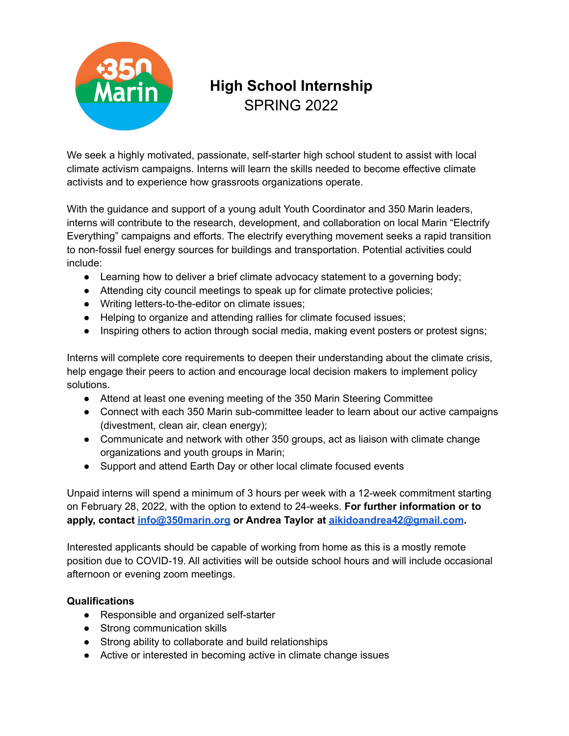

## **High School Internship** SPRING 2022

We seek a highly motivated, passionate, self-starter high school student to assist with local climate activism campaigns. Interns will learn the skills needed to become effective climate activists and to experience how grassroots organizations operate.

With the guidance and support of a young adult Youth Coordinator and 350 Marin leaders, interns will contribute to the research, development, and collaboration on local Marin "Electrify Everything" campaigns and efforts. The electrify everything movement seeks a rapid transition to non-fossil fuel energy sources for buildings and transportation. Potential activities could include:

- Learning how to deliver a brief climate advocacy statement to a governing body;
- Attending city council meetings to speak up for climate protective policies;
- Writing letters-to-the-editor on climate issues;
- Helping to organize and attending rallies for climate focused issues;
- Inspiring others to action through social media, making event posters or protest signs;

Interns will complete core requirements to deepen their understanding about the climate crisis, help engage their peers to action and encourage local decision makers to implement policy solutions.

- Attend at least one evening meeting of the 350 Marin Steering Committee
- Connect with each 350 Marin sub-committee leader to learn about our active campaigns (divestment, clean air, clean energy);
- Communicate and network with other 350 groups, act as liaison with climate change organizations and youth groups in Marin;
- Support and attend Earth Day or other local climate focused events

Unpaid interns will spend a minimum of 3 hours per week with a 12-week commitment starting on February 28, 2022, with the option to extend to 24-weeks. **For further information or to apply, contact [info@350marin.org](mailto:info@350marin.org) or Andrea Taylor at [aikidoandrea42@gmail.com](mailto:aikidoandrea42@gmail.com).**

Interested applicants should be capable of working from home as this is a mostly remote position due to COVID-19. All activities will be outside school hours and will include occasional afternoon or evening zoom meetings.

## **Qualifications**

- Responsible and organized self-starter
- Strong communication skills
- Strong ability to collaborate and build relationships
- Active or interested in becoming active in climate change issues